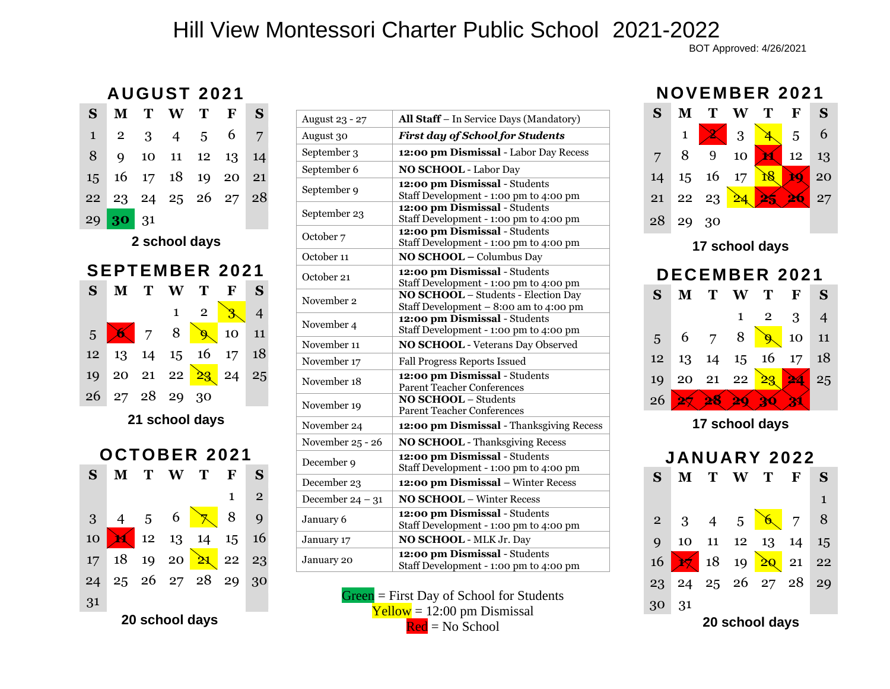## Hill View Montessori Charter Public School 2021-2022

BOT Approved: 4/26/2021

## **AUGUST 2 02 1**

| S                     | M              | Т  | W              | Т                        | ${\bf F}$       | S              |  |
|-----------------------|----------------|----|----------------|--------------------------|-----------------|----------------|--|
| $\mathbf{1}$          | $\overline{2}$ | 3  | $\overline{4}$ | 5                        | 6               | 7              |  |
| 8                     | 9              | 10 | 11             | 12                       | 13              | 14             |  |
| 15                    | 16             | 17 | 18             | 19                       | 20              | 21             |  |
| 22                    | 23             |    | 24 25          | 26                       | 27              | 28             |  |
| 29                    | 30             | 31 |                |                          |                 |                |  |
| 2 school days         |                |    |                |                          |                 |                |  |
| <b>SEPTEMBER 2021</b> |                |    |                |                          |                 |                |  |
|                       |                |    |                |                          |                 |                |  |
| S                     | M              | T  | W              | T                        | F               | S              |  |
|                       |                |    | $\mathbf{1}$   | $\overline{2}$           | 3               | $\overline{4}$ |  |
| 5                     |                | 7  | 8              | $\overline{\mathcal{G}}$ | 10              | 11             |  |
| 12                    | 13             | 14 | 15             | 16                       | 17 <sup>1</sup> | 18             |  |
| 19                    | 20             |    | 21 22          | 23                       | 24              | 25             |  |
| 26                    | 27             | 28 | 29             | 30                       |                 |                |  |



| August 23 - 27       | All Staff - In Service Days (Mandatory)                                              |  |  |
|----------------------|--------------------------------------------------------------------------------------|--|--|
| August 30            | <b>First day of School for Students</b>                                              |  |  |
| September 3          | 12:00 pm Dismissal - Labor Day Recess                                                |  |  |
| September 6          | <b>NO SCHOOL - Labor Day</b>                                                         |  |  |
| September 9          | 12:00 pm Dismissal - Students<br>Staff Development - 1:00 pm to 4:00 pm              |  |  |
| September 23         | 12:00 pm Dismissal - Students<br>Staff Development - 1:00 pm to 4:00 pm              |  |  |
| October <sub>7</sub> | 12:00 pm Dismissal - Students<br>Staff Development - 1:00 pm to 4:00 pm              |  |  |
| October 11           | NO SCHOOL - Columbus Day                                                             |  |  |
| October 21           | 12:00 pm Dismissal - Students<br>Staff Development - 1:00 pm to 4:00 pm              |  |  |
| November 2           | <b>NO SCHOOL</b> - Students - Election Day<br>Staff Development - 8:00 am to 4:00 pm |  |  |
| November 4           | 12:00 pm Dismissal - Students<br>Staff Development - 1:00 pm to 4:00 pm              |  |  |
| November 11          | <b>NO SCHOOL</b> - Veterans Day Observed                                             |  |  |
| November 17          | <b>Fall Progress Reports Issued</b>                                                  |  |  |
| November 18          | 12:00 pm Dismissal - Students<br><b>Parent Teacher Conferences</b>                   |  |  |
| November 19          | <b>NO SCHOOL - Students</b><br><b>Parent Teacher Conferences</b>                     |  |  |
| November 24          | 12:00 pm Dismissal - Thanksgiving Recess                                             |  |  |
| November 25 - 26     | <b>NO SCHOOL</b> - Thanksgiving Recess                                               |  |  |
| December 9           | 12:00 pm Dismissal - Students<br>Staff Development - 1:00 pm to 4:00 pm              |  |  |
| December 23          | 12:00 pm Dismissal - Winter Recess                                                   |  |  |
| December $24 - 31$   | <b>NO SCHOOL - Winter Recess</b>                                                     |  |  |
| January 6            | 12:00 pm Dismissal - Students<br>Staff Development - 1:00 pm to 4:00 pm              |  |  |
| January 17           | NO SCHOOL - MLK Jr. Day                                                              |  |  |
| January 20           | 12:00 pm Dismissal - Students<br>Staff Development - 1:00 pm to 4:00 pm              |  |  |

Green = First Day of School for Students  $Yellow = 12:00 pm$  Dismissal  $Red = No School$ 

## **NOVEMBER 202 1**



**17 school days**



**17 school days**